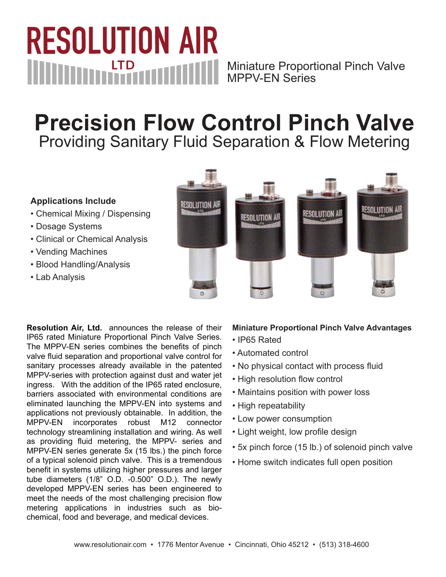### **RESOLUTION AIR MUNICIPAL STP** Miniature Proportional Pinch Valve MPPV-EN Series

## **Precision Flow Control Pinch Valve** Providing Sanitary Fluid Separation & Flow Metering

#### **Applications Include**

- Chemical Mixing / Dispensing
- Dosage Systems
- Clinical or Chemical Analysis
- Vending Machines
- Blood Handling/Analysis
- Lab Analysis



**Resolution Air, Ltd.** announces the release of their IP65 rated Miniature Proportional Pinch Valve Series. The MPPV-EN series combines the benefits of pinch valve fluid separation and proportional valve control for sanitary processes already available in the patented MPPV-series with protection against dust and water jet ingress. With the addition of the IP65 rated enclosure, barriers associated with environmental conditions are eliminated launching the MPPV-EN into systems and applications not previously obtainable. In addition, the MPPV-EN incorporates robust M12 connector technology streamlining installation and wiring. As well as providing fluid metering, the MPPV- series and MPPV-EN series generate 5x (15 lbs.) the pinch force of a typical solenoid pinch valve. This is a tremendous benefit in systems utilizing higher pressures and larger tube diameters (1/8" O.D. -0.500" O.D.). The newly developed MPPV-EN series has been engineered to meet the needs of the most challenging precision flow metering applications in industries such as biochemical, food and beverage, and medical devices.

#### **Miniature Proportional Pinch Valve Advantages**

- IP65 Rated
- Automated control
- No physical contact with process fluid
- High resolution flow control
- Maintains position with power loss
- High repeatability
- Low power consumption
- Light weight, low profile design
- 5x pinch force (15 lb.) of solenoid pinch valve
- Home switch indicates full open position